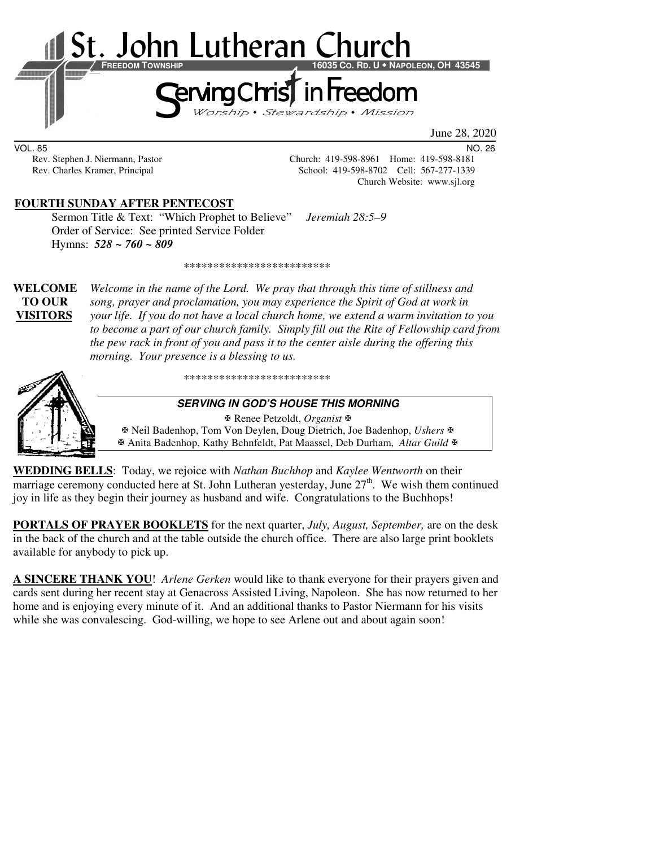

June 28, 2020

VOL. 85 NO. 26

Rev. Stephen J. Niermann, Pastor Church: 419-598-8961 Home: 419-598-8181 Rev. Charles Kramer, Principal School: 419-598-8702 Cell: 567-277-1339 Church Website: www.sjl.org

# **FOURTH SUNDAY AFTER PENTECOST**

 Sermon Title & Text: "Which Prophet to Believe" *Jeremiah 28:5–9*  Order of Service: See printed Service Folder Hymns: *528 ~ 760 ~ 809*

\*\*\*\*\*\*\*\*\*\*\*\*\*\*\*\*\*\*\*\*\*\*\*\*\*

**WELCOME** *Welcome in the name of the Lord. We pray that through this time of stillness and* **TO OUR** *song, prayer and proclamation, you may experience the Spirit of God at work in*  **VISITORS** *your life. If you do not have a local church home, we extend a warm invitation to you to become a part of our church family. Simply fill out the Rite of Fellowship card from the pew rack in front of you and pass it to the center aisle during the offering this morning. Your presence is a blessing to us.* 



\*\*\*\*\*\*\*\*\*\*\*\*\*\*\*\*\*\*\*\*\*\*\*\*\*

#### **SERVING IN GOD'S HOUSE THIS MORNING**

 Renee Petzoldt, *Organist* Neil Badenhop, Tom Von Deylen, Doug Dietrich, Joe Badenhop, *Ushers* Anita Badenhop, Kathy Behnfeldt, Pat Maassel, Deb Durham, *Altar Guild*

**WEDDING BELLS**: Today, we rejoice with *Nathan Buchhop* and *Kaylee Wentworth* on their marriage ceremony conducted here at St. John Lutheran yesterday, June  $27<sup>th</sup>$ . We wish them continued joy in life as they begin their journey as husband and wife. Congratulations to the Buchhops!

**PORTALS OF PRAYER BOOKLETS** for the next quarter, *July, August, September,* are on the desk in the back of the church and at the table outside the church office. There are also large print booklets available for anybody to pick up.

**A SINCERE THANK YOU**! *Arlene Gerken* would like to thank everyone for their prayers given and cards sent during her recent stay at Genacross Assisted Living, Napoleon. She has now returned to her home and is enjoying every minute of it. And an additional thanks to Pastor Niermann for his visits while she was convalescing. God-willing, we hope to see Arlene out and about again soon!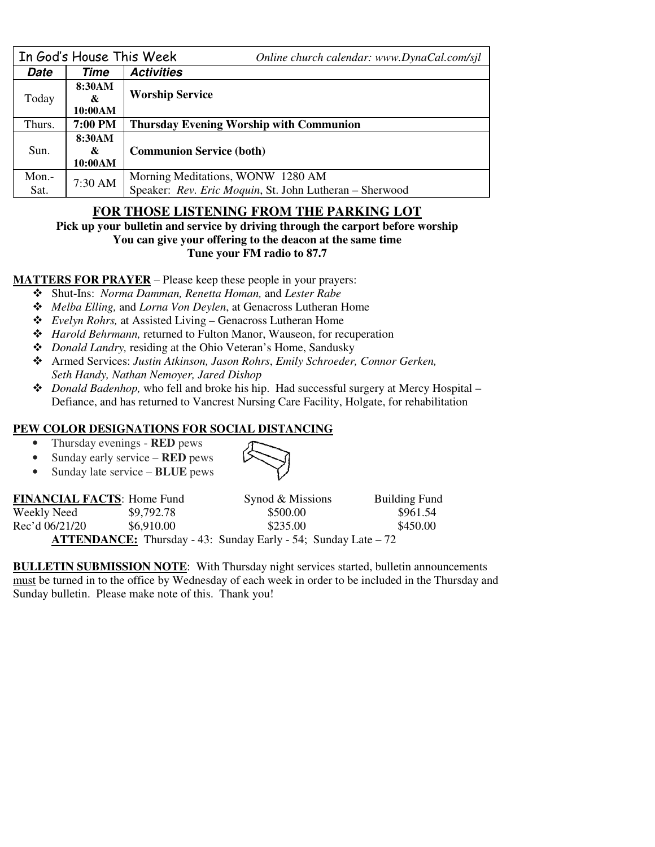| In God's House This Week |         | Online church calendar: www.DynaCal.com/sjl             |  |  |
|--------------------------|---------|---------------------------------------------------------|--|--|
| <b>Date</b>              | Time    | <b>Activities</b>                                       |  |  |
| Today                    | 8:30AM  |                                                         |  |  |
|                          | &       | <b>Worship Service</b>                                  |  |  |
|                          | 10:00AM |                                                         |  |  |
| Thurs.                   | 7:00 PM | <b>Thursday Evening Worship with Communion</b>          |  |  |
| Sun.                     | 8:30AM  |                                                         |  |  |
|                          | &       | <b>Communion Service (both)</b>                         |  |  |
|                          | 10:00AM |                                                         |  |  |
| Mon.-                    | 7:30 AM | Morning Meditations, WONW 1280 AM                       |  |  |
| Sat.                     |         | Speaker: Rev. Eric Moquin, St. John Lutheran - Sherwood |  |  |

# **FOR THOSE LISTENING FROM THE PARKING LOT**

**Pick up your bulletin and service by driving through the carport before worship You can give your offering to the deacon at the same time Tune your FM radio to 87.7** 

**MATTERS FOR PRAYER** – Please keep these people in your prayers:

- Shut-Ins: *Norma Damman, Renetta Homan,* and *Lester Rabe*
- *Melba Elling,* and *Lorna Von Deylen*, at Genacross Lutheran Home
- *Evelyn Rohrs,* at Assisted Living Genacross Lutheran Home
- *Harold Behrmann,* returned to Fulton Manor, Wauseon, for recuperation
- *Donald Landry,* residing at the Ohio Veteran's Home, Sandusky
- Armed Services: *Justin Atkinson, Jason Rohrs*, *Emily Schroeder, Connor Gerken, Seth Handy, Nathan Nemoyer, Jared Dishop*
- *Donald Badenhop,* who fell and broke his hip. Had successful surgery at Mercy Hospital Defiance, and has returned to Vancrest Nursing Care Facility, Holgate, for rehabilitation

### **PEW COLOR DESIGNATIONS FOR SOCIAL DISTANCING**

- Thursday evenings **RED** pews
- Sunday early service **RED** pews
- Sunday late service **BLUE** pews



| <b>FINANCIAL FACTS: Home Fund</b> |            | Synod & Missions                                                      | <b>Building Fund</b> |
|-----------------------------------|------------|-----------------------------------------------------------------------|----------------------|
| Weekly Need                       | \$9,792.78 | \$500.00                                                              | \$961.54             |
| Rec'd 06/21/20                    | \$6,910.00 | \$235.00                                                              | \$450.00             |
|                                   |            | <b>ATTENDANCE:</b> Thursday - 43: Sunday Early - 54; Sunday Late – 72 |                      |

**BULLETIN SUBMISSION NOTE**: With Thursday night services started, bulletin announcements must be turned in to the office by Wednesday of each week in order to be included in the Thursday and Sunday bulletin. Please make note of this. Thank you!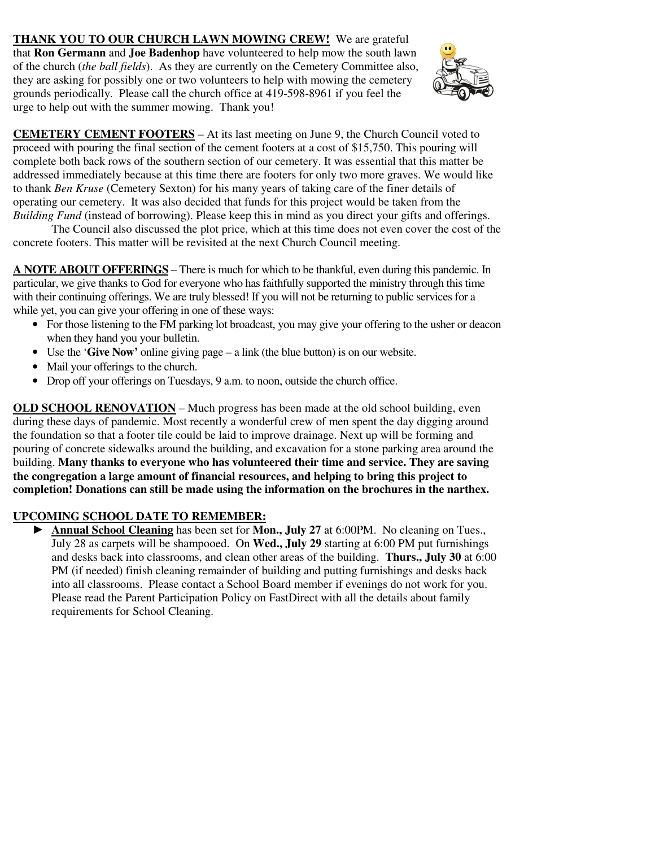**THANK YOU TO OUR CHURCH LAWN MOWING CREW!** We are grateful that **Ron Germann** and **Joe Badenhop** have volunteered to help mow the south lawn of the church (*the ball fields*). As they are currently on the Cemetery Committee also, they are asking for possibly one or two volunteers to help with mowing the cemetery grounds periodically. Please call the church office at 419-598-8961 if you feel the urge to help out with the summer mowing. Thank you!



**CEMETERY CEMENT FOOTERS** – At its last meeting on June 9, the Church Council voted to proceed with pouring the final section of the cement footers at a cost of \$15,750. This pouring will complete both back rows of the southern section of our cemetery. It was essential that this matter be addressed immediately because at this time there are footers for only two more graves. We would like to thank *Ben Kruse* (Cemetery Sexton) for his many years of taking care of the finer details of operating our cemetery. It was also decided that funds for this project would be taken from the *Building Fund* (instead of borrowing). Please keep this in mind as you direct your gifts and offerings.

 The Council also discussed the plot price, which at this time does not even cover the cost of the concrete footers. This matter will be revisited at the next Church Council meeting.

**A NOTE ABOUT OFFERINGS** – There is much for which to be thankful, even during this pandemic. In particular, we give thanks to God for everyone who has faithfully supported the ministry through this time with their continuing offerings. We are truly blessed! If you will not be returning to public services for a while yet, you can give your offering in one of these ways:

- For those listening to the FM parking lot broadcast, you may give your offering to the usher or deacon when they hand you your bulletin.
- Use the '**Give Now'** online giving page a link (the blue button) is on our website.
- Mail your offerings to the church.
- Drop off your offerings on Tuesdays, 9 a.m. to noon, outside the church office.

**OLD SCHOOL RENOVATION –** Much progress has been made at the old school building, even during these days of pandemic. Most recently a wonderful crew of men spent the day digging around the foundation so that a footer tile could be laid to improve drainage. Next up will be forming and pouring of concrete sidewalks around the building, and excavation for a stone parking area around the building. **Many thanks to everyone who has volunteered their time and service. They are saving the congregation a large amount of financial resources, and helping to bring this project to completion! Donations can still be made using the information on the brochures in the narthex.** 

# **UPCOMING SCHOOL DATE TO REMEMBER:**

► **Annual School Cleaning** has been set for **Mon., July 27** at 6:00PM. No cleaning on Tues., July 28 as carpets will be shampooed. On **Wed., July 29** starting at 6:00 PM put furnishings and desks back into classrooms, and clean other areas of the building. **Thurs., July 30** at 6:00 PM (if needed) finish cleaning remainder of building and putting furnishings and desks back into all classrooms. Please contact a School Board member if evenings do not work for you. Please read the Parent Participation Policy on FastDirect with all the details about family requirements for School Cleaning.